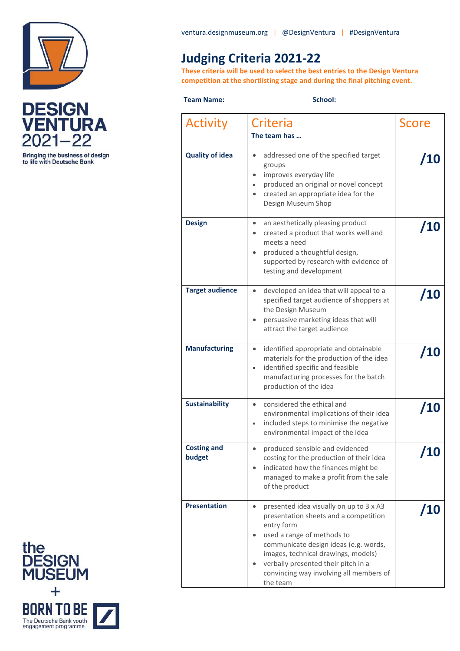



**Bringing the business of design<br>to life with Deutsche Bank** 

## **Judging Criteria 2021-22**

**These criteria will be used to select the best entries to the Design Ventura competition at the shortlisting stage and during the final pitching event.** 

## **Team Name:** School:

| Activity                     | Criteria<br>The team has                                                                                                                                                                                                                                                                                                | <b>Score</b> |
|------------------------------|-------------------------------------------------------------------------------------------------------------------------------------------------------------------------------------------------------------------------------------------------------------------------------------------------------------------------|--------------|
| <b>Quality of idea</b>       | addressed one of the specified target<br>$\bullet$<br>groups<br>improves everyday life<br>produced an original or novel concept<br>created an appropriate idea for the<br>Design Museum Shop                                                                                                                            | /10          |
| <b>Design</b>                | an aesthetically pleasing product<br>$\bullet$<br>created a product that works well and<br>meets a need<br>produced a thoughtful design,<br>supported by research with evidence of<br>testing and development                                                                                                           | /10          |
| <b>Target audience</b>       | developed an idea that will appeal to a<br>$\bullet$<br>specified target audience of shoppers at<br>the Design Museum<br>persuasive marketing ideas that will<br>attract the target audience                                                                                                                            | /10          |
| <b>Manufacturing</b>         | identified appropriate and obtainable<br>$\bullet$<br>materials for the production of the idea<br>identified specific and feasible<br>manufacturing processes for the batch<br>production of the idea                                                                                                                   | /10          |
| <b>Sustainability</b>        | considered the ethical and<br>$\bullet$<br>environmental implications of their idea<br>included steps to minimise the negative<br>$\bullet$<br>environmental impact of the idea                                                                                                                                         | /10          |
| <b>Costing and</b><br>budget | produced sensible and evidenced<br>$\bullet$<br>costing for the production of their idea<br>indicated how the finances might be<br>managed to make a profit from the sale<br>of the product                                                                                                                             | <b>10</b>    |
| <b>Presentation</b>          | presented idea visually on up to 3 x A3<br>$\bullet$<br>presentation sheets and a competition<br>entry form<br>used a range of methods to<br>communicate design ideas (e.g. words,<br>images, technical drawings, models)<br>verbally presented their pitch in a<br>convincing way involving all members of<br>the team | /10          |